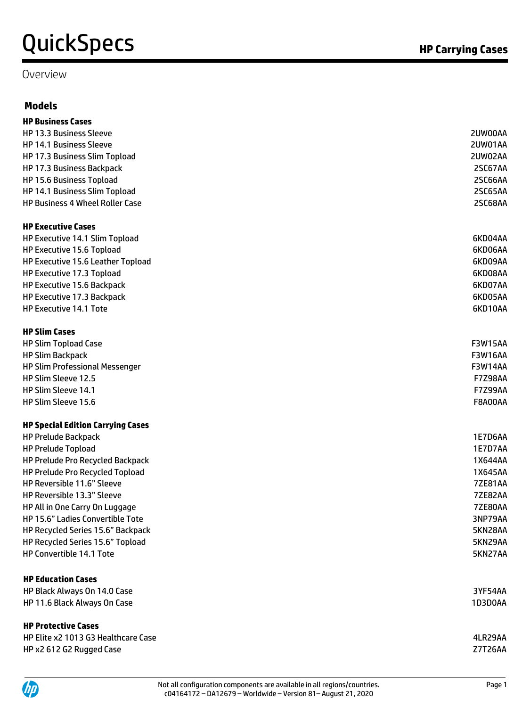#### Overview

### **Models**

| <b>HP Business Cases</b>                 |                |
|------------------------------------------|----------------|
| <b>HP 13.3 Business Sleeve</b>           | 2UW00AA        |
| <b>HP 14.1 Business Sleeve</b>           | 2UW01AA        |
| HP 17.3 Business Slim Topload            | 2UW02AA        |
| HP 17.3 Business Backpack                | 2SC67AA        |
| HP 15.6 Business Topload                 | 2SC66AA        |
| HP 14.1 Business Slim Topload            | <b>2SC65AA</b> |
| <b>HP Business 4 Wheel Roller Case</b>   | 2SC68AA        |
| <b>HP Executive Cases</b>                |                |
| HP Executive 14.1 Slim Topload           | 6KD04AA        |
| HP Executive 15.6 Topload                | 6KD06AA        |
| HP Executive 15.6 Leather Topload        | 6KD09AA        |
| HP Executive 17.3 Topload                | 6KD08AA        |
| HP Executive 15.6 Backpack               | 6KD07AA        |
| HP Executive 17.3 Backpack               | 6KD05AA        |
| <b>HP Executive 14.1 Tote</b>            | 6KD10AA        |
| <b>HP Slim Cases</b>                     |                |
| <b>HP Slim Topload Case</b>              | <b>F3W15AA</b> |
| <b>HP Slim Backpack</b>                  | <b>F3W16AA</b> |
| <b>HP Slim Professional Messenger</b>    | <b>F3W14AA</b> |
| HP Slim Sleeve 12.5                      | <b>F7Z98AA</b> |
| HP Slim Sleeve 14.1                      | <b>F7Z99AA</b> |
| HP Slim Sleeve 15.6                      | <b>F8A00AA</b> |
| <b>HP Special Edition Carrying Cases</b> |                |
| <b>HP Prelude Backpack</b>               | <b>1E7D6AA</b> |
| <b>HP Prelude Topload</b>                | <b>1E7D7AA</b> |
| HP Prelude Pro Recycled Backpack         | 1X644AA        |
| HP Prelude Pro Recycled Topload          | 1X645AA        |
| HP Reversible 11.6" Sleeve               | <b>7ZE81AA</b> |
| HP Reversible 13.3" Sleeve               | <b>7ZE82AA</b> |
| HP All in One Carry On Luggage           | <b>7ZE80AA</b> |
| HP 15.6" Ladies Convertible Tote         | 3NP79AA        |
| HP Recycled Series 15.6" Backpack        | 5KN28AA        |
| HP Recycled Series 15.6" Topload         | 5KN29AA        |
| HP Convertible 14.1 Tote                 | 5KN27AA        |
| <b>HP Education Cases</b>                |                |
| HP Black Always On 14.0 Case             | 3YF54AA        |
| HP 11.6 Black Always On Case             | 1D3D0AA        |
| <b>HP Protective Cases</b>               |                |
| HP Elite x2 1013 G3 Healthcare Case      | 4LR29AA        |
| HP x2 612 G2 Rugged Case                 | Z7T26AA        |

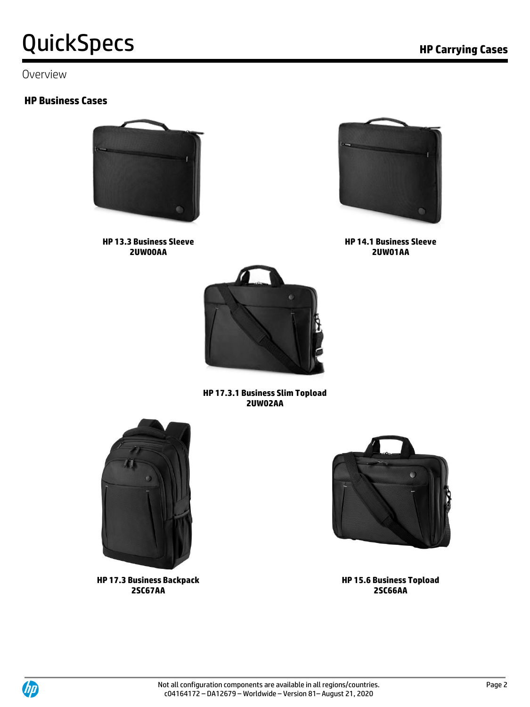#### Overview

#### **HP Business Cases**



**HP 13.3 Business Sleeve 2UW00AA**



**HP 14.1 Business Sleeve 2UW01AA**



**HP 17.3.1 Business Slim Topload 2UW02AA**



**HP 17.3 Business Backpack 2SC67AA**



**HP 15.6 Business Topload 2SC66AA**

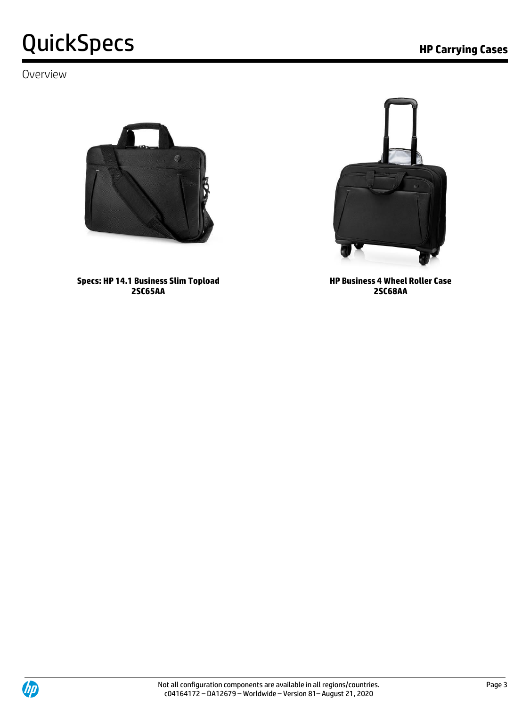### Overview



**Specs: HP 14.1 Business Slim Topload 2SC65AA**



**HP Business 4 Wheel Roller Case 2SC68AA**



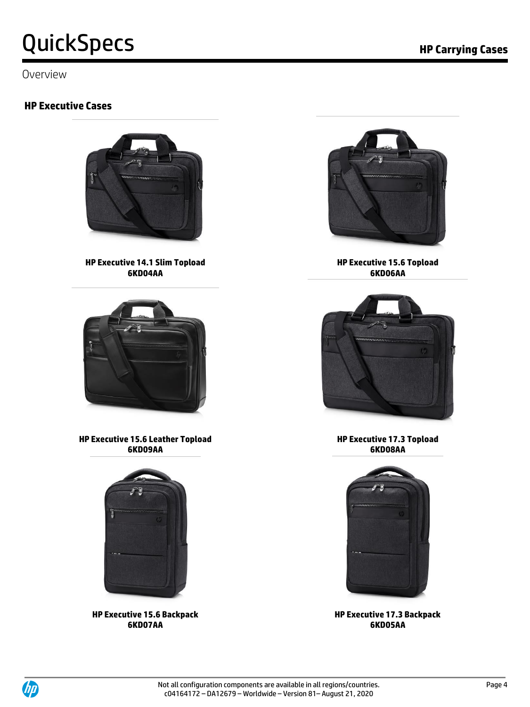Overview

### **HP Executive Cases**



**HP Executive 14.1 Slim Topload 6KD04AA**



**HP Executive 15.6 Leather Topload 6KD09AA**



**HP Executive 15.6 Backpack 6KD07AA**



**HP Executive 15.6 Topload 6KD06AA**



**HP Executive 17.3 Topload 6KD08AA**



**HP Executive 17.3 Backpack 6KD05AA**

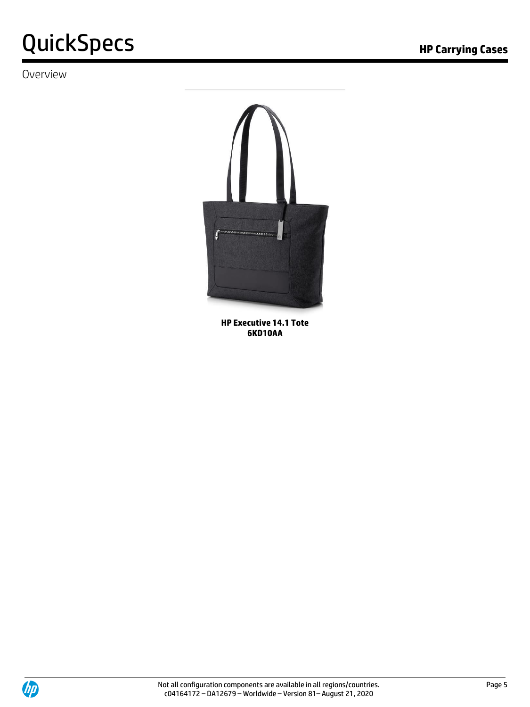### Overview



**HP Executive 14.1 Tote 6KD10AA**

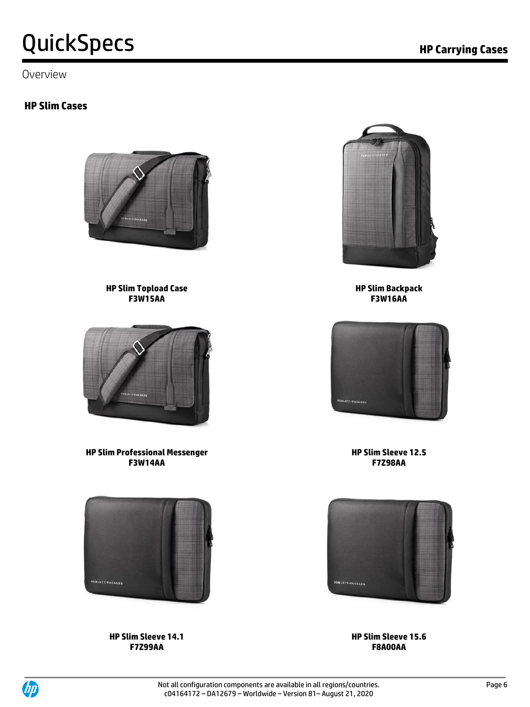Overview

### **HP Slim Cases**



**HP Slim Topload Case F3W15AA**



**HP Slim Professional Messenger F3W14AA**



**HP Slim Sleeve 14.1 F7Z99AA**





**HP Slim Backpack F3W16AA** 



**HP Slim Sleeve 12.5 F7Z98AA**



**HP Slim Sleeve 15.6 F8A00AA**

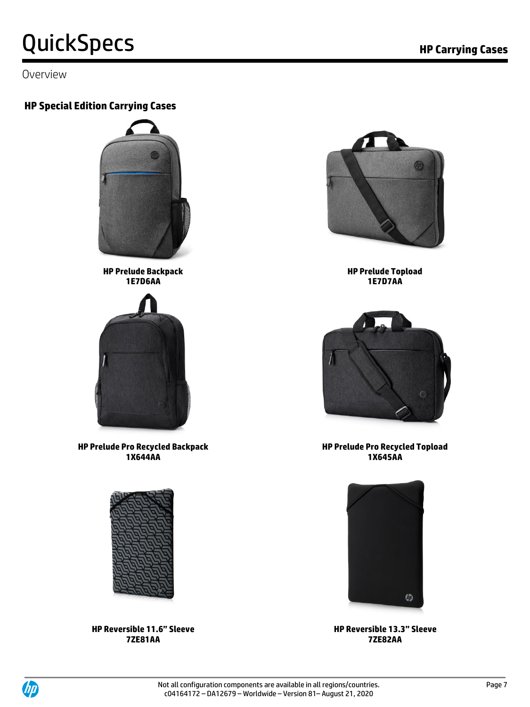Overview

### **HP Special Edition Carrying Cases**



**HP Prelude Backpack 1E7D6AA**



**HP Prelude Pro Recycled Backpack 1X644AA**



**HP Reversible 11.6" Sleeve 7ZE81AA**



**HP Prelude Topload 1E7D7AA**



**HP Prelude Pro Recycled Topload 1X645AA**



**HP Reversible 13.3" Sleeve 7ZE82AA**

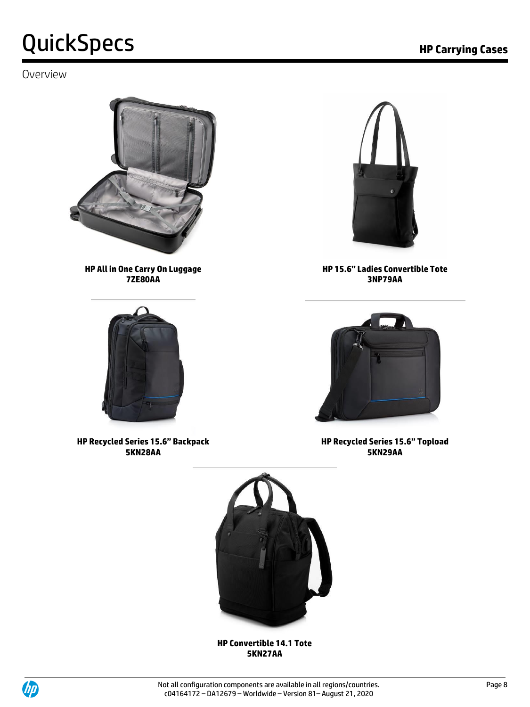### Overview



**HP All in One Carry On Luggage 7ZE80AA**



**HP Recycled Series 15.6" Backpack 5KN28AA**



**HP 15.6" Ladies Convertible Tote 3NP79AA**



**HP Recycled Series 15.6" Topload 5KN29AA**



**HP Convertible 14.1 Tote 5KN27AA**

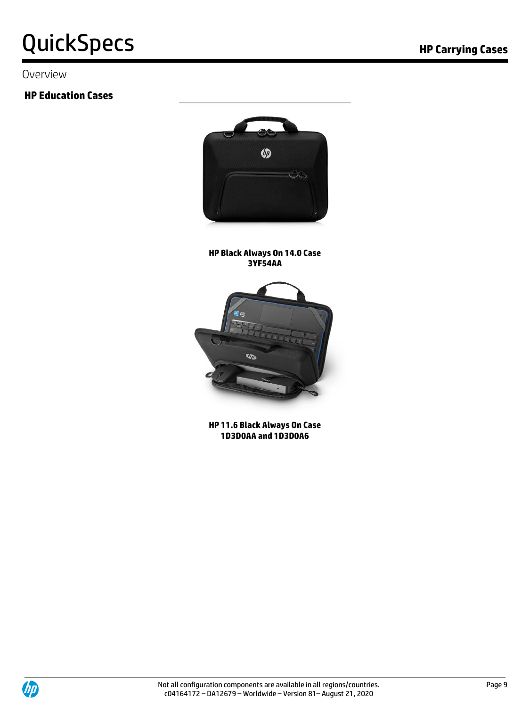#### Overview

### **HP Education Cases**



#### **HP Black Always On 14.0 Case 3YF54AA**



**HP 11.6 Black Always On Case 1D3D0AA and 1D3D0A6**

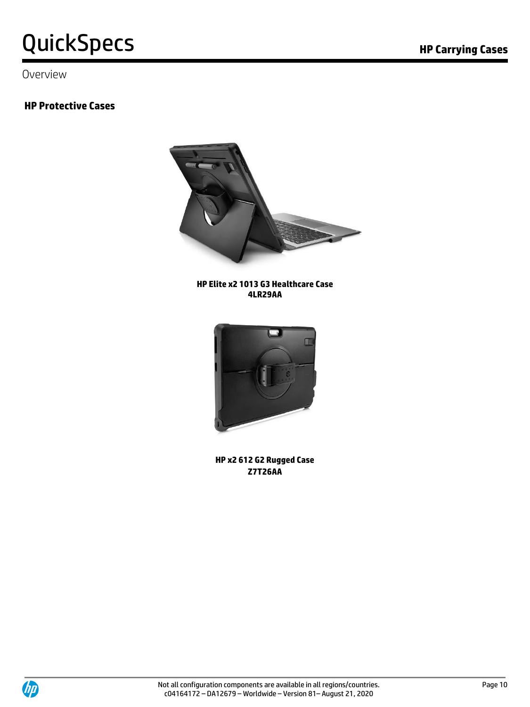Overview

### **HP Protective Cases**



**HP Elite x2 1013 G3 Healthcare Case 4LR29AA**



**HP x2 612 G2 Rugged Case Z7T26AA**

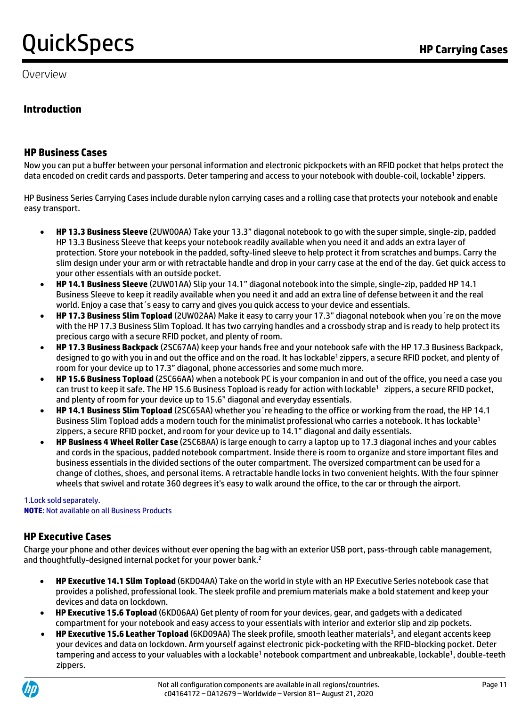Overview

#### **Introduction**

#### **HP Business Cases**

Now you can put a buffer between your personal information and electronic pickpockets with an RFID pocket that helps protect the data encoded on credit cards and passports. Deter tampering and access to your notebook with double-coil, lockable<sup>1</sup> zippers.

HP Business Series Carrying Cases include durable nylon carrying cases and a rolling case that protects your notebook and enable easy transport.

- **HP 13.3 Business Sleeve** (2UW00AA) Take your 13.3" diagonal notebook to go with the super simple, single-zip, padded HP 13.3 Business Sleeve that keeps your notebook readily available when you need it and adds an extra layer of protection. Store your notebook in the padded, softy-lined sleeve to help protect it from scratches and bumps. Carry the slim design under your arm or with retractable handle and drop in your carry case at the end of the day. Get quick access to your other essentials with an outside pocket.
- **HP 14.1 Business Sleeve** (2UW01AA) Slip your 14.1" diagonal notebook into the simple, single-zip, padded HP 14.1 Business Sleeve to keep it readily available when you need it and add an extra line of defense between it and the real world. Enjoy a case that´s easy to carry and gives you quick access to your device and essentials.
- **HP 17.3 Business Slim Topload** (2UW02AA) Make it easy to carry your 17.3" diagonal notebook when you´re on the move with the HP 17.3 Business Slim Topload. It has two carrying handles and a crossbody strap and is ready to help protect its precious cargo with a secure RFID pocket, and plenty of room.
- **HP 17.3 Business Backpack** (2SC67AA) keep your hands free and your notebook safe with the HP 17.3 Business Backpack, designed to go with you in and out the office and on the road. It has lockable<sup>1</sup> zippers, a secure RFID pocket, and plenty of room for your device up to 17.3" diagonal, phone accessories and some much more.
- **HP 15.6 Business Topload** (2SC66AA) when a notebook PC is your companion in and out of the office, you need a case you can trust to keep it safe. The HP 15.6 Business Topload is ready for action with lockable<sup>1</sup> zippers, a secure RFID pocket, and plenty of room for your device up to 15.6" diagonal and everyday essentials.
- **HP 14.1 Business Slim Topload** (2SC65AA) whether you´re heading to the office or working from the road, the HP 14.1 Business Slim Topload adds a modern touch for the minimalist professional who carries a notebook. It has lockable<sup>1</sup> zippers, a secure RFID pocket, and room for your device up to 14.1" diagonal and daily essentials.
- **HP Business 4 Wheel Roller Case** (2SC68AA) is large enough to carry a laptop up to 17.3 diagonal inches and your cables and cords in the spacious, padded notebook compartment. Inside there is room to organize and store important files and business essentials in the divided sections of the outer compartment. The oversized compartment can be used for a change of clothes, shoes, and personal items. A retractable handle locks in two convenient heights. With the four spinner wheels that swivel and rotate 360 degrees it's easy to walk around the office, to the car or through the airport.

#### 1.Lock sold separately.

**NOTE**: Not available on all Business Products

#### **HP Executive Cases**

Charge your phone and other devices without ever opening the bag with an exterior USB port, pass-through cable management, and thoughtfully-designed internal pocket for your power bank.<sup>2</sup>

- **HP Executive 14.1 Slim Topload** (6KD04AA) Take on the world in style with an HP Executive Series notebook case that provides a polished, professional look. The sleek profile and premium materials make a bold statement and keep your devices and data on lockdown.
- **HP Executive 15.6 Topload** (6KD06AA) Get plenty of room for your devices, gear, and gadgets with a dedicated compartment for your notebook and easy access to your essentials with interior and exterior slip and zip pockets.
- HP Executive 15.6 Leather Topload (6KD09AA) The sleek profile, smooth leather materials<sup>3</sup>, and elegant accents keep your devices and data on lockdown. Arm yourself against electronic pick-pocketing with the RFID-blocking pocket. Deter tampering and access to your valuables with a lockable<sup>1</sup> notebook compartment and unbreakable, lockable<sup>1</sup>, double-teeth zippers.

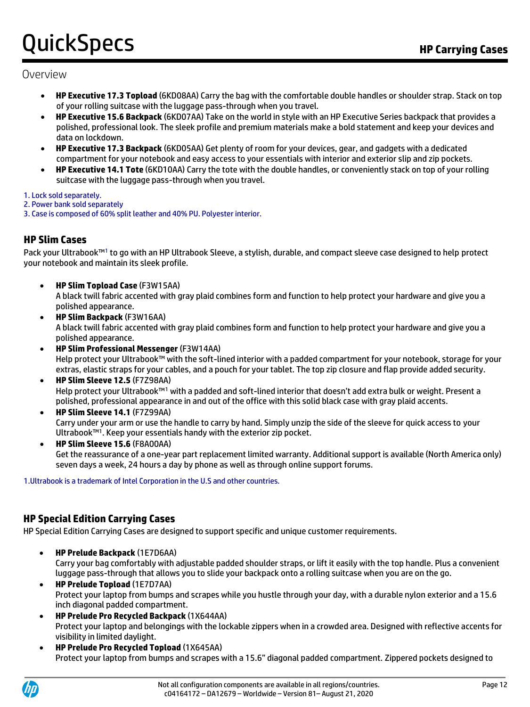#### Overview

- **HP Executive 17.3 Topload** (6KD08AA) Carry the bag with the comfortable double handles or shoulder strap. Stack on top of your rolling suitcase with the luggage pass-through when you travel.
- **HP Executive 15.6 Backpack** (6KD07AA) Take on the world in style with an HP Executive Series backpack that provides a polished, professional look. The sleek profile and premium materials make a bold statement and keep your devices and data on lockdown.
- **HP Executive 17.3 Backpack** (6KD05AA) Get plenty of room for your devices, gear, and gadgets with a dedicated compartment for your notebook and easy access to your essentials with interior and exterior slip and zip pockets.
- **HP Executive 14.1 Tote** (6KD10AA) Carry the tote with the double handles, or conveniently stack on top of your rolling suitcase with the luggage pass-through when you travel.

#### 1. Lock sold separately.

- 2. Power bank sold separately
- 3. Case is composed of 60% split leather and 40% PU. Polyester interior.

#### **HP Slim Cases**

Pack your Ultrabook™<sup>1</sup> to go with an HP Ultrabook Sleeve, a stylish, durable, and compact sleeve case designed to help protect your notebook and maintain its sleek profile.

- **HP Slim Topload Case** (F3W15AA) A black twill fabric accented with gray plaid combines form and function to help protect your hardware and give you a polished appearance.
- **HP Slim Backpack** (F3W16AA) A black twill fabric accented with gray plaid combines form and function to help protect your hardware and give you a polished appearance.
- **HP Slim Professional Messenger** (F3W14AA) Help protect your Ultrabook™ with the soft-lined interior with a padded compartment for your notebook, storage for your extras, elastic straps for your cables, and a pouch for your tablet. The top zip closure and flap provide added security.
- **HP Slim Sleeve 12.5** (F7Z98AA) Help protect your Ultrabook™<sup>1</sup> with a padded and soft-lined interior that doesn't add extra bulk or weight. Present a polished, professional appearance in and out of the office with this solid black case with gray plaid accents.
- **HP Slim Sleeve 14.1** (F7Z99AA) Carry under your arm or use the handle to carry by hand. Simply unzip the side of the sleeve for quick access to your Ultrabook™<sup>1</sup> . Keep your essentials handy with the exterior zip pocket.
- **HP Slim Sleeve 15.6** (F8A00AA) Get the reassurance of a one-year part replacement limited warranty. Additional support is available (North America only) seven days a week, 24 hours a day by phone as well as through online support forums.

1.Ultrabook is a trademark of Intel Corporation in the U.S and other countries.

#### **HP Special Edition Carrying Cases**

HP Special Edition Carrying Cases are designed to support specific and unique customer requirements.

- **HP Prelude Backpack** (1E7D6AA) Carry your bag comfortably with adjustable padded shoulder straps, or lift it easily with the top handle. Plus a convenient luggage pass-through that allows you to slide your backpack onto a rolling suitcase when you are on the go.
- **HP Prelude Topload** (1E7D7AA) Protect your laptop from bumps and scrapes while you hustle through your day, with a durable nylon exterior and a 15.6 inch diagonal padded compartment.
- **HP Prelude Pro Recycled Backpack** (1X644AA) Protect your laptop and belongings with the lockable zippers when in a crowded area. Designed with reflective accents for visibility in limited daylight.
- **HP Prelude Pro Recycled Topload** (1X645AA) Protect your laptop from bumps and scrapes with a 15.6" diagonal padded compartment. Zippered pockets designed to

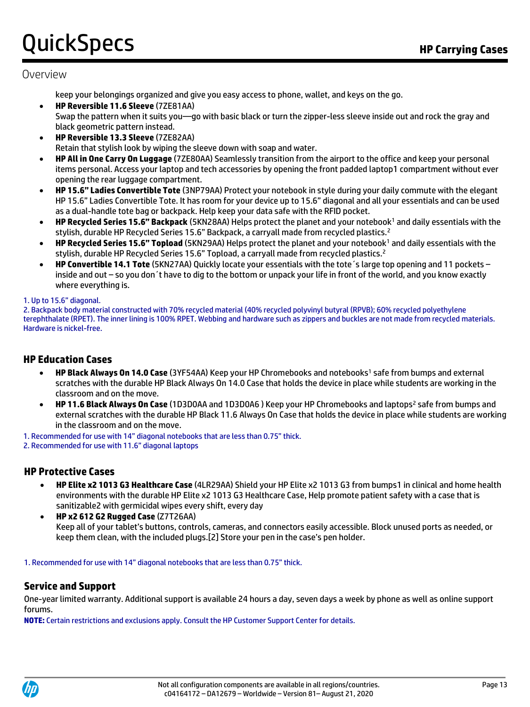### Overview

keep your belongings organized and give you easy access to phone, wallet, and keys on the go.

- **HP Reversible 11.6 Sleeve** (7ZE81AA) Swap the pattern when it suits you—go with basic black or turn the zipper-less sleeve inside out and rock the gray and black geometric pattern instead.
- **HP Reversible 13.3 Sleeve** (7ZE82AA) Retain that stylish look by wiping the sleeve down with soap and water.
- **HP All in One Carry On Luggage** (7ZE80AA) Seamlessly transition from the airport to the office and keep your personal items personal. Access your laptop and tech accessories by opening the front padded laptop1 compartment without ever opening the rear luggage compartment.
- **HP 15.6" Ladies Convertible Tote** (3NP79AA) Protect your notebook in style during your daily commute with the elegant HP 15.6" Ladies Convertible Tote. It has room for your device up to 15.6" diagonal and all your essentials and can be used as a dual-handle tote bag or backpack. Help keep your data safe with the RFID pocket.
- **HP Recycled Series 15.6" Backpack** (5KN28AA) Helps protect the planet and your notebook<sup>1</sup> and daily essentials with the stylish, durable HP Recycled Series 15.6" Backpack, a carryall made from recycled plastics.<sup>2</sup>
- **HP Recycled Series 15.6" Topload** (5KN29AA) Helps protect the planet and your notebook<sup>1</sup> and daily essentials with the stylish, durable HP Recycled Series 15.6" Topload, a carryall made from recycled plastics.<sup>2</sup>
- **HP Convertible 14.1 Tote** (5KN27AA) Quickly locate your essentials with the tote´s large top opening and 11 pockets inside and out – so you don´t have to dig to the bottom or unpack your life in front of the world, and you know exactly where everything is.

#### 1. Up to 15.6" diagonal.

2. Backpack body material constructed with 70% recycled material (40% recycled polyvinyl butyral (RPVB); 60% recycled polyethylene terephthalate (RPET). The inner lining is 100% RPET. Webbing and hardware such as zippers and buckles are not made from recycled materials. Hardware is nickel-free.

#### **HP Education Cases**

- **HP Black Always On 14.0 Case** (3YF54AA) Keep your HP Chromebooks and notebooks<sup>1</sup> safe from bumps and external scratches with the durable HP Black Always On 14.0 Case that holds the device in place while students are working in the classroom and on the move.
- **HP 11.6 Black Always On Case** (1D3D0AA and 1D3D0A6 ) Keep your HP Chromebooks and laptops<sup>2</sup> safe from bumps and external scratches with the durable HP Black 11.6 Always On Case that holds the device in place while students are working in the classroom and on the move.
- 1. Recommended for use with 14" diagonal notebooks that are less than 0.75" thick.
- 2. Recommended for use with 11.6" diagonal laptops

#### **HP Protective Cases**

- **HP Elite x2 1013 G3 Healthcare Case** (4LR29AA) Shield your HP Elite x2 1013 G3 from bumps1 in clinical and home health environments with the durable HP Elite x2 1013 G3 Healthcare Case, Help promote patient safety with a case that is sanitizable2 with germicidal wipes every shift, every day
- **HP x2 612 G2 Rugged Case** (Z7T26AA) Keep all of your tablet's buttons, controls, cameras, and connectors easily accessible. Block unused ports as needed, or keep them clean, with the included plugs.[2] Store your pen in the case's pen holder.

1. Recommended for use with 14" diagonal notebooks that are less than 0.75" thick.

#### **Service and Support**

One-year limited warranty. Additional support is available 24 hours a day, seven days a week by phone as well as online support forums.

**NOTE:** Certain restrictions and exclusions apply. Consult the HP Customer Support Center for details.

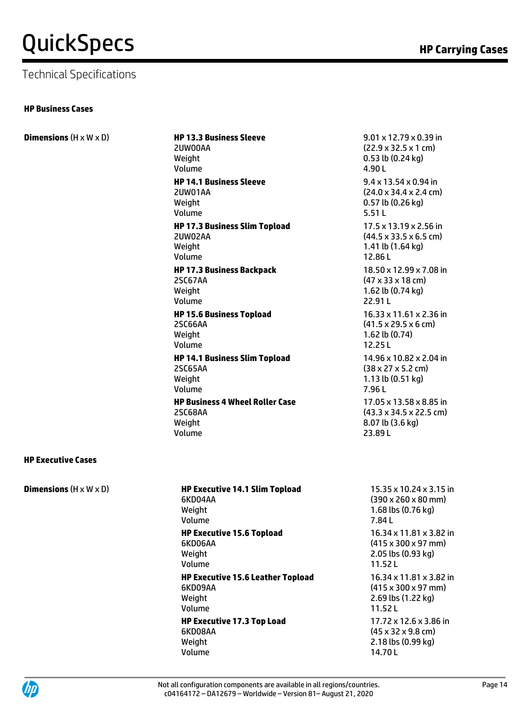### Technical Specifications

#### **HP Business Cases**

| <b>Dimensions</b> $(H \times W \times D)$ | <b>HP 13.3 Business Sleeve</b><br>2UW00AA<br>Weight<br>Volume<br><b>HP 14.1 Business Sleeve</b><br>2UW01AA<br>Weight<br>Volume |
|-------------------------------------------|--------------------------------------------------------------------------------------------------------------------------------|
|                                           | <b>HP 17.3 Business Slim Topload</b><br>2UW02AA<br>Weight<br>Volume                                                            |
|                                           | <b>HP 17.3 Business Backpack</b><br><b>2SC67AA</b><br>Weight<br>Volume                                                         |
|                                           | <b>HP 15.6 Business Topload</b><br>2SC66AA<br>Weight<br>Volume                                                                 |
|                                           | <b>HP 14.1 Business Slim Topload</b><br><b>2SC65AA</b><br>Weight<br>Volume                                                     |
|                                           | <b>HP Business 4 Wheel Roller Case</b><br>2SC68AA<br>Weight<br>Volume                                                          |
| <b>HP Executive Cases</b>                 |                                                                                                                                |

9.01 x 12.79 x 0.39 in (22.9 x 32.5 x 1 cm) 0.53 lb (0.24 kg) 4.90 L 9.4 x 13.54 x 0.94 in (24.0 x 34.4 x 2.4 cm) 0.57 lb (0.26 kg) 5.51 L 17.5 x 13.19 x 2.56 in (44.5 x 33.5 x 6.5 cm) 1.41 lb (1.64 kg) 12.86 L 18.50 x 12.99 x 7.08 in (47 x 33 x 18 cm) 1.62 lb (0.74 kg) 22.91 L 16.33 x 11.61 x 2.36 in (41.5 x 29.5 x 6 cm) 1.62 lb (0.74) 12.25 L 14.96 x 10.82 x 2.04 in (38 x 27 x 5.2 cm) 1.13 lb (0.51 kg) 7.96 L 17.05 x 13.58 x 8.85 in (43.3 x 34.5 x 22.5 cm) 8.07 lb (3.6 kg)

23.89 L

#### **HP Executive Cases**

| <b>Dimensions</b> $(H \times W \times D)$ |  |
|-------------------------------------------|--|
|-------------------------------------------|--|

#### **HP Executive 14.1 Slim Topload** 6KD04AA Weight Volume **HP Executive 15.6 Topload** 6KD06AA Weight Volume **HP Executive 15.6 Leather Topload** 6KD09AA Weight Volume **HP Executive 17.3 Top Load** 6KD08AA

Weight Volume

15.35 x 10.24 x 3.15 in (390 x 260 x 80 mm) 1.68 lbs (0.76 kg) 7.84 L 16.34 x 11.81 x 3.82 in (415 x 300 x 97 mm) 2.05 lbs (0.93 kg) 11.52 L 16.34 x 11.81 x 3.82 in (415 x 300 x 97 mm) 2.69 lbs (1.22 kg) 11.52 L 17.72 x 12.6 x 3.86 in (45 x 32 x 9.8 cm) 2.18 lbs (0.99 kg) 14.70 L

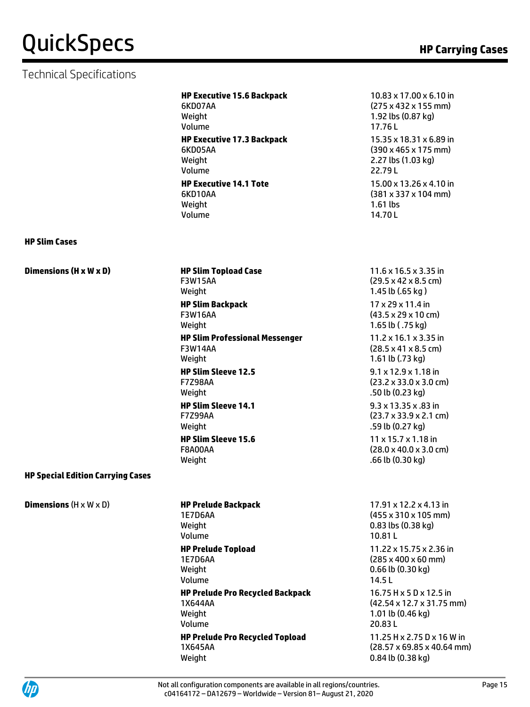### Technical Specifications

|                                           | <b>HP Executive 15.6 Backpack</b><br>6KD07AA<br>Weight<br>Volume  | 10.83 x 17.00 x 6.10 in<br>$(275 \times 432 \times 155 \text{ mm})$<br>1.92 lbs (0.87 kg)<br>17.76L    |
|-------------------------------------------|-------------------------------------------------------------------|--------------------------------------------------------------------------------------------------------|
|                                           | <b>HP Executive 17.3 Backpack</b><br>6KD05AA<br>Weight<br>Volume  | 15.35 x 18.31 x 6.89 in<br>$(390 \times 465 \times 175 \text{ mm})$<br>2.27 lbs (1.03 kg)<br>22.79L    |
|                                           | <b>HP Executive 14.1 Tote</b><br>6KD10AA<br>Weight<br>Volume      | 15.00 x 13.26 x 4.10 in<br>$(381 \times 337 \times 104 \text{ mm})$<br>$1.61$ lbs<br>14.70L            |
| <b>HP Slim Cases</b>                      |                                                                   |                                                                                                        |
| Dimensions (H x W x D)                    | <b>HP Slim Topload Case</b><br><b>F3W15AA</b><br>Weight           | $11.6 \times 16.5 \times 3.35$ in<br>$(29.5 \times 42 \times 8.5 \text{ cm})$<br>1.45 lb (.65 kg)      |
|                                           | <b>HP Slim Backpack</b><br><b>F3W16AA</b><br>Weight               | 17 x 29 x 11.4 in<br>$(43.5 \times 29 \times 10 \text{ cm})$<br>1.65 lb (.75 kg)                       |
|                                           | <b>HP Slim Professional Messenger</b><br><b>F3W14AA</b><br>Weight | 11.2 x 16.1 x 3.35 in<br>$(28.5 \times 41 \times 8.5 \text{ cm})$<br>1.61 lb (.73 kg)                  |
|                                           | <b>HP Slim Sleeve 12.5</b><br><b>F7Z98AA</b><br>Weight            | $9.1 \times 12.9 \times 1.18$ in<br>$(23.2 \times 33.0 \times 3.0 \text{ cm})$<br>.50 lb (0.23 kg)     |
|                                           | <b>HP Slim Sleeve 14.1</b><br><b>F7Z99AA</b><br>Weight            | $9.3 \times 13.35 \times .83$ in<br>$(23.7 \times 33.9 \times 2.1 \text{ cm})$<br>.59 lb (0.27 kg)     |
|                                           | <b>HP Slim Sleeve 15.6</b><br><b>F8A00AA</b><br>Weight            | $11 \times 15.7 \times 1.18$ in<br>$(28.0 \times 40.0 \times 3.0 \text{ cm})$<br>.66 lb (0.30 kg)      |
| <b>HP Special Edition Carrying Cases</b>  |                                                                   |                                                                                                        |
| <b>Dimensions</b> $(H \times W \times D)$ | <b>HP Prelude Backpack</b><br><b>1E7D6AA</b><br>Weight<br>Volume  | $17.91 \times 12.2 \times 4.13$ in<br>$(455 \times 310 \times 105$ mm)<br>0.83 lbs (0.38 kg)<br>10.81L |
|                                           | <b>HP Prelude Topload</b>                                         | 11.22 x 15.75 x 2.36 in                                                                                |

1E7D6AA Weight Volume **HP Prelude Pro Recycled Backpack** 1X644AA Weight Volume **HP Prelude Pro Recycled Topload** 1X645AA Weight

(43.5 x 29 x 10 cm) 1.65 lb ( .75 kg) 1.2 x 16.1 x 3.35 in (28.5 x 41 x 8.5 cm) 1.61 lb (.73 kg) 9.1 x 12.9 x 1.18 in  $(3.2 \times 33.0 \times 3.0 \text{ cm})$ .50 lb (0.23 kg) 9.3 x 13.35 x .83 in (23.7 x 33.9 x 2.1 cm) 59 lb (0.27 kg) 11 x 15.7 x 1.18 in (28.0 x 40.0 x 3.0 cm)

17.91 x 12.2 x 4.13 in (455 x 310 x 105 mm) 0.83 lbs (0.38 kg) 0.81 L 11.22 x 15.75 x 2.36 in (285 x 400 x 60 mm) 0.66 lb (0.30 kg) 14.5 L 16.75 H x 5 D x 12.5 in (42.54 x 12.7 x 31.75 mm) 1.01 lb (0.46 kg) 20.83 L 11.25 H x 2.75 D x 16 W in (28.57 x 69.85 x 40.64 mm) 0.84 lb (0.38 kg)

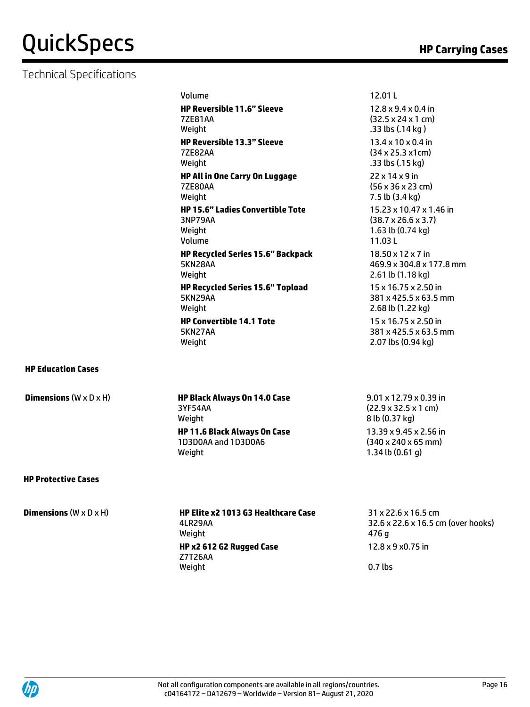### Technical Specifications

| Volume                                                                 |
|------------------------------------------------------------------------|
| <b>HP Reversible 11.6" Sleeve</b><br><b>77F81AA</b><br>Weight          |
| <b>HP Reversible 13.3" Sleeve</b><br><b>77F82AA</b><br>Weight          |
| HP All in One Carry On Luggage<br><b>7ZE80AA</b><br>Weight             |
| <b>HP 15.6" Ladies Convertible Tote</b><br>3NP79AA<br>Weight<br>Volume |
| <b>HP Recycled Series 15.6" Backpack</b><br><b>5KN28AA</b><br>Weight   |
| <b>HP Recycled Series 15.6" Topload</b><br><b>5KN29AA</b><br>Weight    |
| <b>HP Convertible 14.1 Tote</b><br>5KN27AA<br>Weight                   |

12.01 L 12.8 x 9.4 x 0.4 in (32.5 x 24 x 1 cm) .33 lbs (.14 kg ) 13.4 x 10 x 0.4 in (34 x 25.3 x1cm) .33 lbs (.15 kg) 22 x 14 x 9 in (56 x 36 x 23 cm) 7.5 lb (3.4 kg) 15.23 x 10.47 x 1.46 in (38.7 x 26.6 x 3.7) 1.63 lb (0.74 kg) 11.03 L 18.50 x 12 x 7 in 469.9 x 304.8 x 177.8 mm 2.61 lb (1.18 kg) 15 x 16.75 x 2.50 in 381 x 425.5 x 63.5 mm 2.68 lb (1.22 kg) 15 x 16.75 x 2.50 in 381 x 425.5 x 63.5 mm 2.07 lbs (0.94 kg)

#### **HP Education Cases**

**Dimensions** (W x D x H) **HP Black Always On 14.0 Case** 3YF54AA Weight **HP 11.6 Black Always On Case** 1D3D0AA and 1D3D0A6 Weight

9.01 x 12.79 x 0.39 in (22.9 x 32.5 x 1 cm) 8 lb (0.37 kg) 13.39 x 9.45 x 2.56 in (340 x 240 x 65 mm) 1.34 lb (0.61 g)

#### **HP Protective Cases**

**Dimensions** (W x D x H) **HP Elite x2 1013 G3 Healthcare Case**  4LR29AA Weight **HP x2 612 G2 Rugged Case**  Z7T26AA Weight

31 x 22.6 x 16.5 cm 32.6 x 22.6 x 16.5 cm (over hooks) 476 g 12.8 x 9 x0.75 in

0.7 lbs

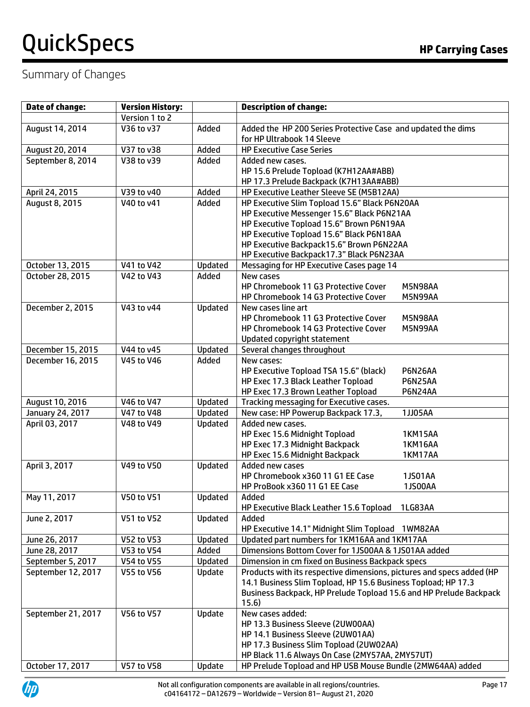### Summary of Changes

| <b>Date of change:</b> | <b>Version History:</b> |         | <b>Description of change:</b>                                                        |
|------------------------|-------------------------|---------|--------------------------------------------------------------------------------------|
|                        | Version 1 to 2          |         |                                                                                      |
| August 14, 2014        | V36 to v37              | Added   | Added the HP 200 Series Protective Case and updated the dims                         |
|                        |                         |         | for HP Ultrabook 14 Sleeve                                                           |
| August 20, 2014        | V37 to v38              | Added   | <b>HP Executive Case Series</b>                                                      |
| September 8, 2014      | V38 to v39              | Added   | Added new cases.                                                                     |
|                        |                         |         | HP 15.6 Prelude Topload (K7H12AA#ABB)                                                |
|                        |                         |         | HP 17.3 Prelude Backpack (K7H13AA#ABB)                                               |
| April 24, 2015         | V39 to v40              | Added   | HP Executive Leather Sleeve SE (M5B12AA)                                             |
| August 8, 2015         | V40 to v41              | Added   | HP Executive Slim Topload 15.6" Black P6N20AA                                        |
|                        |                         |         | HP Executive Messenger 15.6" Black P6N21AA                                           |
|                        |                         |         | HP Executive Topload 15.6" Brown P6N19AA                                             |
|                        |                         |         | HP Executive Topload 15.6" Black P6N18AA                                             |
|                        |                         |         | HP Executive Backpack15.6" Brown P6N22AA<br>HP Executive Backpack17.3" Black P6N23AA |
| October 13, 2015       | V41 to V42              | Updated | Messaging for HP Executive Cases page 14                                             |
| October 28, 2015       | V42 to V43              | Added   | New cases                                                                            |
|                        |                         |         | HP Chromebook 11 G3 Protective Cover<br>M5N98AA                                      |
|                        |                         |         | HP Chromebook 14 G3 Protective Cover<br>M5N99AA                                      |
| December 2, 2015       | V43 to v44              | Updated | New cases line art                                                                   |
|                        |                         |         | HP Chromebook 11 G3 Protective Cover<br>M5N98AA                                      |
|                        |                         |         | HP Chromebook 14 G3 Protective Cover<br>M5N99AA                                      |
|                        |                         |         | Updated copyright statement                                                          |
| December 15, 2015      | V44 to v45              | Updated | Several changes throughout                                                           |
| December 16, 2015      | V45 to V46              | Added   | New cases:                                                                           |
|                        |                         |         | HP Executive Topload TSA 15.6" (black)<br>P6N26AA                                    |
|                        |                         |         | HP Exec 17.3 Black Leather Topload<br><b>P6N25AA</b>                                 |
|                        |                         |         | HP Exec 17.3 Brown Leather Topload<br><b>P6N24AA</b>                                 |
| August 10, 2016        | V46 to V47              | Updated | Tracking messaging for Executive cases.                                              |
| January 24, 2017       | V47 to V48              | Updated | New case: HP Powerup Backpack 17.3,<br>1JJ05AA                                       |
| April 03, 2017         | V48 to V49              | Updated | Added new cases.<br>HP Exec 15.6 Midnight Topload<br>1KM15AA                         |
|                        |                         |         | HP Exec 17.3 Midnight Backpack<br>1KM16AA                                            |
|                        |                         |         | HP Exec 15.6 Midnight Backpack<br>1KM17AA                                            |
| April 3, 2017          | V49 to V50              | Updated | Added new cases                                                                      |
|                        |                         |         | HP Chromebook x360 11 G1 EE Case<br>1JS01AA                                          |
|                        |                         |         | HP ProBook x360 11 G1 EE Case<br><b>1JS00AA</b>                                      |
| May 11, 2017           | V50 to V51              | Updated | Added                                                                                |
|                        |                         |         | HP Executive Black Leather 15.6 Topload<br>1LG83AA                                   |
| June 2, 2017           | V51 to V52              | Updated | Added                                                                                |
|                        |                         |         | HP Executive 14.1" Midnight Slim Topload 1WM82AA                                     |
| June 26, 2017          | V52 to V53              | Updated | Updated part numbers for 1KM16AA and 1KM17AA                                         |
| June 28, 2017          | V53 to V54              | Added   | Dimensions Bottom Cover for 1JS00AA & 1JS01AA added                                  |
| September 5, 2017      | V54 to V55              | Updated | Dimension in cm fixed on Business Backpack specs                                     |
| September 12, 2017     | <b>V55 to V56</b>       | Update  | Products with its respective dimensions, pictures and specs added (HP                |
|                        |                         |         | 14.1 Business Slim Topload, HP 15.6 Business Topload; HP 17.3                        |
|                        |                         |         | Business Backpack, HP Prelude Topload 15.6 and HP Prelude Backpack<br>15.6)          |
| September 21, 2017     | V56 to V57              | Update  | New cases added:                                                                     |
|                        |                         |         | HP 13.3 Business Sleeve (2UW00AA)                                                    |
|                        |                         |         | HP 14.1 Business Sleeve (2UW01AA)                                                    |
|                        |                         |         | HP 17.3 Business Slim Topload (2UW02AA)                                              |
|                        |                         |         | HP Black 11.6 Always On Case (2MY57AA, 2MY57UT)                                      |
| October 17, 2017       | V57 to V58              | Update  | HP Prelude Topload and HP USB Mouse Bundle (2MW64AA) added                           |